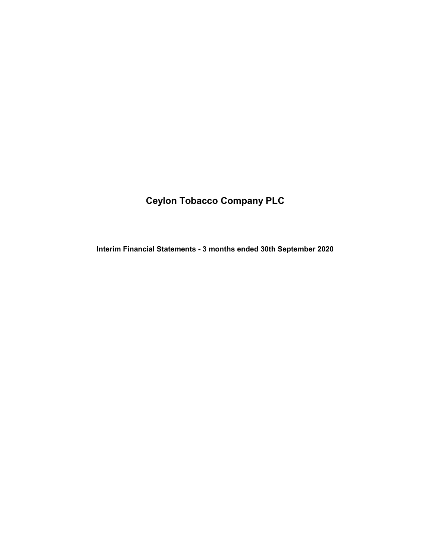# Ceylon Tobacco Company PLC

Interim Financial Statements - 3 months ended 30th September 2020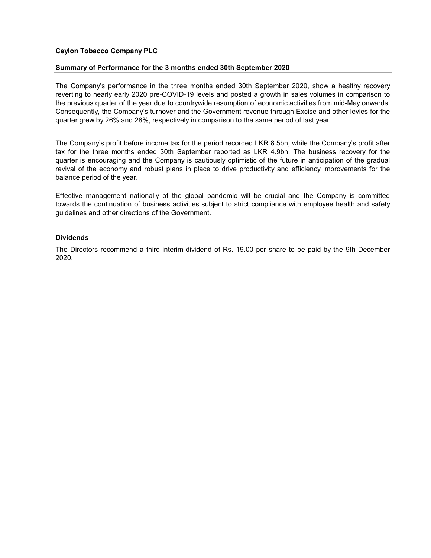### Ceylon Tobacco Company PLC

### Summary of Performance for the 3 months ended 30th September 2020

The Company's performance in the three months ended 30th September 2020, show a healthy recovery reverting to nearly early 2020 pre-COVID-19 levels and posted a growth in sales volumes in comparison to the previous quarter of the year due to countrywide resumption of economic activities from mid-May onwards. Consequently, the Company's turnover and the Government revenue through Excise and other levies for the quarter grew by 26% and 28%, respectively in comparison to the same period of last year.

The Company's profit before income tax for the period recorded LKR 8.5bn, while the Company's profit after tax for the three months ended 30th September reported as LKR 4.9bn. The business recovery for the quarter is encouraging and the Company is cautiously optimistic of the future in anticipation of the gradual revival of the economy and robust plans in place to drive productivity and efficiency improvements for the balance period of the year.

Effective management nationally of the global pandemic will be crucial and the Company is committed towards the continuation of business activities subject to strict compliance with employee health and safety guidelines and other directions of the Government.

### Dividends

The Directors recommend a third interim dividend of Rs. 19.00 per share to be paid by the 9th December 2020.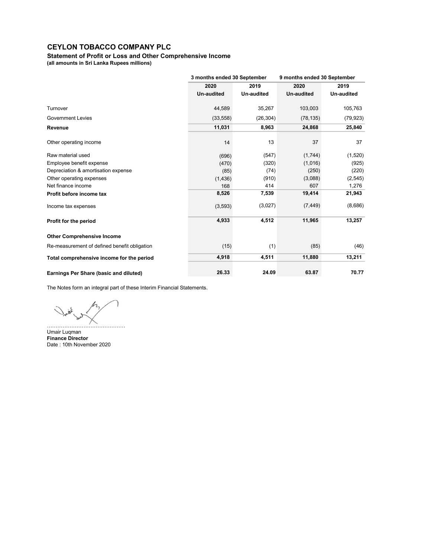Statement of Profit or Loss and Other Comprehensive Income

(all amounts in Sri Lanka Rupees millions)

|                                              | 3 months ended 30 September |            | 9 months ended 30 September |            |
|----------------------------------------------|-----------------------------|------------|-----------------------------|------------|
|                                              | 2020                        | 2019       | 2020                        | 2019       |
|                                              | <b>Un-audited</b>           | Un-audited | <b>Un-audited</b>           | Un-audited |
| Turnover                                     | 44,589                      | 35,267     | 103,003                     | 105,763    |
| <b>Government Levies</b>                     | (33, 558)                   | (26, 304)  | (78, 135)                   | (79, 923)  |
| Revenue                                      | 11,031                      | 8,963      | 24,868                      | 25,840     |
| Other operating income                       | 14                          | 13         | 37                          | 37         |
| Raw material used                            | (696)                       | (547)      | (1,744)                     | (1,520)    |
| Employee benefit expense                     | (470)                       | (320)      | (1,016)                     | (925)      |
| Depreciation & amortisation expense          | (85)                        | (74)       | (250)                       | (220)      |
| Other operating expenses                     | (1, 436)                    | (910)      | (3,088)                     | (2, 545)   |
| Net finance income                           | 168                         | 414        | 607                         | 1,276      |
| Profit before income tax                     | 8,526                       | 7,539      | 19,414                      | 21,943     |
| Income tax expenses                          | (3, 593)                    | (3,027)    | (7, 449)                    | (8,686)    |
| Profit for the period                        | 4,933                       | 4,512      | 11,965                      | 13,257     |
| <b>Other Comprehensive Income</b>            |                             |            |                             |            |
| Re-measurement of defined benefit obligation | (15)                        | (1)        | (85)                        | (46)       |
| Total comprehensive income for the period    | 4,918                       | 4,511      | 11,880                      | 13,211     |
| Earnings Per Share (basic and diluted)       | 26.33                       | 24.09      | 63.87                       | 70.77      |

The Notes form an integral part of these Interim Financial Statements.

ζ à ………………………………………

Umair Luqman Finance Director Date : 10th November 2020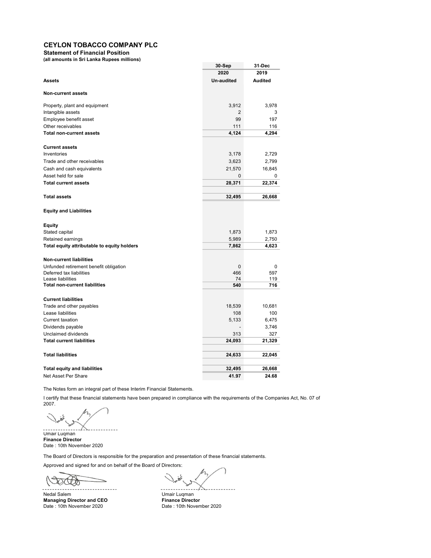Statement of Financial Position

(all amounts in Sri Lanka Rupees millions)

|                                             | 30-Sep            | 31-Dec         |
|---------------------------------------------|-------------------|----------------|
|                                             | 2020              | 2019           |
| <b>Assets</b>                               | <b>Un-audited</b> | <b>Audited</b> |
|                                             |                   |                |
| <b>Non-current assets</b>                   |                   |                |
| Property, plant and equipment               | 3,912             | 3,978          |
| Intangible assets                           | 2                 | 3              |
| Employee benefit asset                      | 99                | 197            |
| Other receivables                           | 111               | 116            |
| <b>Total non-current assets</b>             | 4,124             | 4,294          |
| <b>Current assets</b>                       |                   |                |
| Inventories                                 | 3,178             | 2,729          |
| Trade and other receivables                 | 3,623             | 2,799          |
| Cash and cash equivalents                   | 21,570            | 16,845         |
| Asset held for sale                         | $\mathbf{0}$      | 0              |
| <b>Total current assets</b>                 | 28,371            | 22,374         |
|                                             |                   |                |
| <b>Total assets</b>                         | 32,495            | 26,668         |
|                                             |                   |                |
| <b>Equity and Liabilities</b>               |                   |                |
| Equity                                      |                   |                |
| Stated capital                              | 1,873             | 1,873          |
| Retained earnings                           | 5,989             | 2,750          |
| Total equity attributable to equity holders | 7,862             | 4,623          |
| <b>Non-current liabilities</b>              |                   |                |
| Unfunded retirement benefit obligation      | 0                 | 0              |
| Deferred tax liabilities                    | 466               | 597            |
| Lease liabilities                           | 74                | 119            |
| <b>Total non-current liabilities</b>        | 540               | 716            |
| <b>Current liabilities</b>                  |                   |                |
| Trade and other payables                    | 18,539            | 10,681         |
| Lease liabilities                           | 108               | 100            |
| <b>Current taxation</b>                     | 5,133             | 6,475          |
| Dividends payable                           |                   | 3,746          |
| Unclaimed dividends                         | 313               | 327            |
| <b>Total current liabilities</b>            | 24,093            | 21,329         |
|                                             |                   |                |
| <b>Total liabilities</b>                    | 24,633            | 22,045         |
| <b>Total equity and liabilities</b>         | 32,495            | 26,668         |
| Net Asset Per Share                         | 41.97             | 24.68          |
|                                             |                   |                |

The Notes form an integral part of these Interim Financial Statements.

I certify that these financial statements have been prepared in compliance with the requirements of the Companies Act, No. 07 of 2007.

Umair Luqman Finance Director Date : 10th November 2020

The Board of Directors is responsible for the preparation and presentation of these financial statements.

Approved and signed for and on behalf of the Board of Directors:

Nedal Salem Umair Luqman<br> **Managing Director and CEO** The Triance Director Managing Director and CEO<br>Date: 10th November 2020

Date : 10th November 2020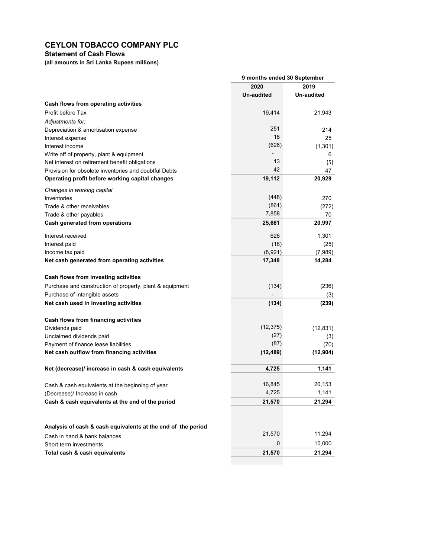## Statement of Cash Flows

(all amounts in Sri Lanka Rupees millions)

|                                                                                                          | 9 months ended 30 September |            |  |
|----------------------------------------------------------------------------------------------------------|-----------------------------|------------|--|
|                                                                                                          | 2020                        | 2019       |  |
|                                                                                                          | <b>Un-audited</b>           | Un-audited |  |
| Cash flows from operating activities                                                                     |                             |            |  |
| Profit before Tax                                                                                        | 19,414                      | 21,943     |  |
| Adjustments for:                                                                                         |                             |            |  |
| Depreciation & amortisation expense                                                                      | 251                         | 214        |  |
| Interest expense                                                                                         | 18                          | 25         |  |
| Interest income                                                                                          | (626)                       | (1,301)    |  |
| Write off of property, plant & equipment                                                                 | 13                          | 6          |  |
| Net interest on retirement benefit obligations                                                           | 42                          | (5)<br>47  |  |
| Provision for obsolete inventories and doubtful Debts<br>Operating profit before working capital changes | 19,112                      | 20,929     |  |
|                                                                                                          |                             |            |  |
| Changes in working capital                                                                               |                             |            |  |
| Inventories                                                                                              | (448)                       | 270        |  |
| Trade & other receivables                                                                                | (861)<br>7,858              | (272)      |  |
| Trade & other payables                                                                                   |                             | 70         |  |
| Cash generated from operations                                                                           | 25,661                      | 20,997     |  |
| Interest received                                                                                        | 626                         | 1.301      |  |
| Interest paid                                                                                            | (18)                        | (25)       |  |
| Income tax paid                                                                                          | (8,921)                     | (7,989)    |  |
| Net cash generated from operating activities                                                             | 17,348                      | 14,284     |  |
| Cash flows from investing activities                                                                     |                             |            |  |
| Purchase and construction of property, plant & equipment                                                 | (134)                       | (236)      |  |
| Purchase of intangible assets                                                                            |                             | (3)        |  |
| Net cash used in investing activities                                                                    | (134)                       | (239)      |  |
| Cash flows from financing activities                                                                     |                             |            |  |
| Dividends paid                                                                                           | (12, 375)                   | (12, 831)  |  |
| Unclaimed dividends paid                                                                                 | (27)                        | (3)        |  |
| Payment of finance lease liabilities                                                                     | (87)                        | (70)       |  |
| Net cash outflow from financing activities                                                               | (12, 489)                   | (12, 904)  |  |
| Net (decrease)/ increase in cash & cash equivalents                                                      | 4,725                       | 1,141      |  |
| Cash & cash equivalents at the beginning of year                                                         | 16,845                      | 20,153     |  |
| (Decrease)/ Increase in cash                                                                             | 4,725                       | 1,141      |  |
| Cash & cash equivalents at the end of the period                                                         | 21,570                      | 21,294     |  |
|                                                                                                          |                             |            |  |
| Analysis of cash & cash equivalents at the end of the period                                             |                             |            |  |
| Cash in hand & bank balances                                                                             | 21,570                      | 11,294     |  |
| Short term investments                                                                                   | 0                           | 10,000     |  |
| Total cash & cash equivalents                                                                            | 21,570                      | 21,294     |  |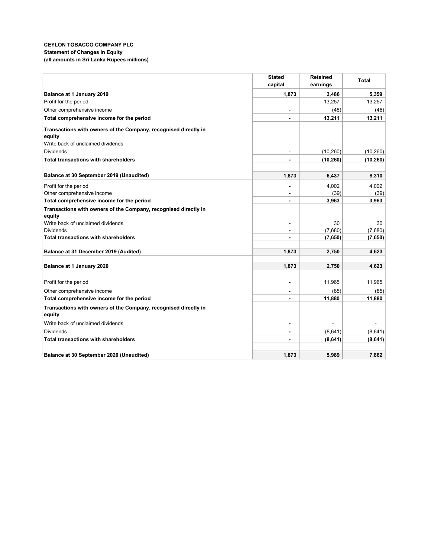### CEYLON TOBACCO COMPANY PLC Statement of Changes in Equity (all amounts in Sri Lanka Rupees millions)

|                                                                 | <b>Stated</b>  | <b>Retained</b>    | <b>Total</b>       |
|-----------------------------------------------------------------|----------------|--------------------|--------------------|
|                                                                 | capital        | earnings           |                    |
| Balance at 1 January 2019                                       | 1,873          | 3,486              | 5,359              |
| Profit for the period                                           |                | 13,257             | 13,257             |
| Other comprehensive income                                      |                | (46)               | (46)               |
| Total comprehensive income for the period                       |                | 13,211             | 13,211             |
| Transactions with owners of the Company, recognised directly in |                |                    |                    |
| equity                                                          |                |                    |                    |
| Write back of unclaimed dividends                               |                |                    |                    |
| Dividends                                                       |                | (10, 260)          | (10, 260)          |
| Total transactions with shareholders                            |                | (10, 260)          | (10, 260)          |
| Balance at 30 September 2019 (Unaudited)                        |                |                    |                    |
|                                                                 | 1.873          | 6,437              | 8,310              |
| Profit for the period                                           |                | 4,002              | 4,002              |
| Other comprehensive income                                      |                | (39)               | (39)               |
| Total comprehensive income for the period                       |                | 3,963              | 3,963              |
| Transactions with owners of the Company, recognised directly in |                |                    |                    |
| equity                                                          |                |                    |                    |
| Write back of unclaimed dividends                               |                | 30                 | 30                 |
| <b>Dividends</b><br><b>Total transactions with shareholders</b> |                | (7,680)<br>(7,650) | (7,680)<br>(7,650) |
|                                                                 |                |                    |                    |
| Balance at 31 December 2019 (Audited)                           | 1,873          | 2,750              | 4,623              |
|                                                                 |                |                    |                    |
| Balance at 1 January 2020                                       | 1,873          | 2,750              | 4,623              |
| Profit for the period                                           |                | 11,965             | 11,965             |
| Other comprehensive income                                      |                | (85)               | (85)               |
| Total comprehensive income for the period                       | $\blacksquare$ | 11,880             | 11,880             |
| Transactions with owners of the Company, recognised directly in |                |                    |                    |
| equity                                                          |                |                    |                    |
| Write back of unclaimed dividends                               |                |                    |                    |
| <b>Dividends</b>                                                | $\blacksquare$ | (8,641)            | (8,641)            |
| <b>Total transactions with shareholders</b>                     |                | (8,641)            | (8,641)            |
|                                                                 |                |                    |                    |
| Balance at 30 September 2020 (Unaudited)                        | 1,873          | 5,989              | 7,862              |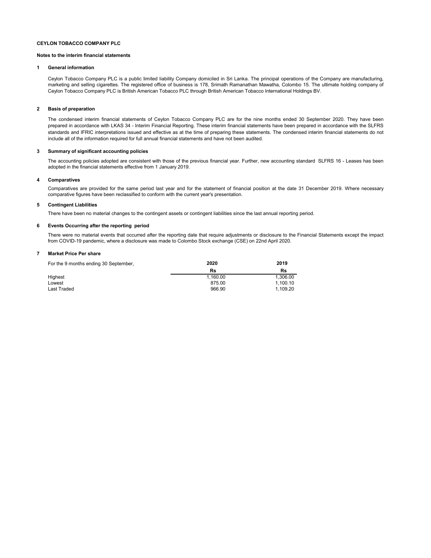#### Notes to the interim financial statements

#### 1 General information

Ceylon Tobacco Company PLC is a public limited liability Company domiciled in Sri Lanka. The principal operations of the Company are manufacturing, marketing and selling cigarettes. The registered office of business is 178, Srimath Ramanathan Mawatha, Colombo 15. The ultimate holding company of Ceylon Tobacco Company PLC is British American Tobacco PLC through British American Tobacco International Holdings BV.

#### 2 Basis of preparation

The condensed interim financial statements of Ceylon Tobacco Company PLC are for the nine months ended 30 September 2020. They have been prepared in accordance with LKAS 34 - Interim Financial Reporting. These interim financial statements have been prepared in accordance with the SLFRS standards and IFRIC interpretations issued and effective as at the time of preparing these statements. The condensed interim financial statements do not include all of the information required for full annual financial statements and have not been audited.

#### 3 Summary of significant accounting policies

The accounting policies adopted are consistent with those of the previous financial year. Further, new accounting standard SLFRS 16 - Leases has been adopted in the financial statements effective from 1 January 2019.

#### 4 Comparatives

Comparatives are provided for the same period last year and for the statement of financial position at the date 31 December 2019. Where necessary comparative figures have been reclassified to conform with the current year's presentation.

#### 5 Contingent Liabilities

There have been no material changes to the contingent assets or contingent liabilities since the last annual reporting period.

#### 6 Events Occurring after the reporting period

There were no material events that occurred after the reporting date that require adjustments or disclosure to the Financial Statements except the impact from COVID-19 pandemic, where a disclosure was made to Colombo Stock exchange (CSE) on 22nd April 2020.

#### 7 Market Price Per share

| For the 9 months ending 30 September, | 2020     | 2019     |
|---------------------------------------|----------|----------|
|                                       | Rs       | Rs       |
| Highest                               | 1.160.00 | 1.306.00 |
| Lowest                                | 875.00   | 1.100.10 |
| Last Traded                           | 966.90   | 1.109.20 |